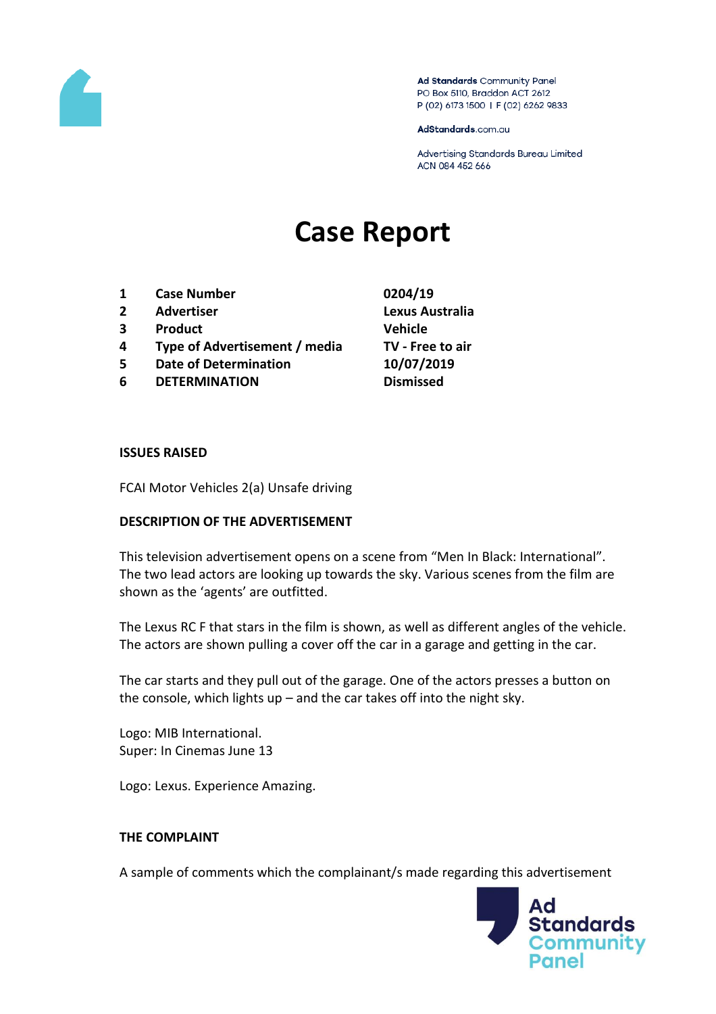

Ad Standards Community Panel PO Box 5110, Braddon ACT 2612 P (02) 6173 1500 | F (02) 6262 9833

AdStandards.com.au

Advertising Standards Bureau Limited ACN 084 452 666

# **Case Report**

- **1 Case Number 0204/19**
- **2 Advertiser Lexus Australia**
- **3 Product Vehicle**
- **4 Type of Advertisement / media TV - Free to air**
- **5 Date of Determination 10/07/2019**
- **6 DETERMINATION Dismissed**

#### **ISSUES RAISED**

FCAI Motor Vehicles 2(a) Unsafe driving

# **DESCRIPTION OF THE ADVERTISEMENT**

This television advertisement opens on a scene from "Men In Black: International". The two lead actors are looking up towards the sky. Various scenes from the film are shown as the 'agents' are outfitted.

The Lexus RC F that stars in the film is shown, as well as different angles of the vehicle. The actors are shown pulling a cover off the car in a garage and getting in the car.

The car starts and they pull out of the garage. One of the actors presses a button on the console, which lights up – and the car takes off into the night sky.

Logo: MIB International. Super: In Cinemas June 13

Logo: Lexus. Experience Amazing.

# **THE COMPLAINT**

A sample of comments which the complainant/s made regarding this advertisement

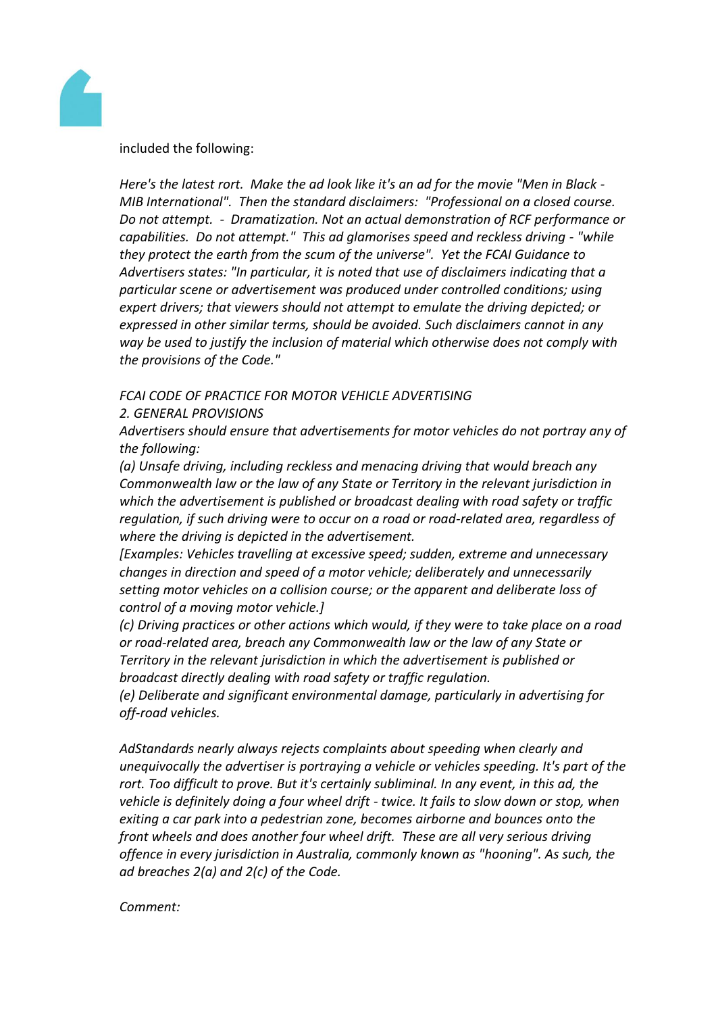

#### included the following:

*Here's the latest rort. Make the ad look like it's an ad for the movie "Men in Black - MIB International". Then the standard disclaimers: "Professional on a closed course. Do not attempt. - Dramatization. Not an actual demonstration of RCF performance or capabilities. Do not attempt." This ad glamorises speed and reckless driving - "while they protect the earth from the scum of the universe". Yet the FCAI Guidance to Advertisers states: "In particular, it is noted that use of disclaimers indicating that a particular scene or advertisement was produced under controlled conditions; using expert drivers; that viewers should not attempt to emulate the driving depicted; or expressed in other similar terms, should be avoided. Such disclaimers cannot in any way be used to justify the inclusion of material which otherwise does not comply with the provisions of the Code."*

# *FCAI CODE OF PRACTICE FOR MOTOR VEHICLE ADVERTISING*

# *2. GENERAL PROVISIONS*

*Advertisers should ensure that advertisements for motor vehicles do not portray any of the following:*

*(a) Unsafe driving, including reckless and menacing driving that would breach any Commonwealth law or the law of any State or Territory in the relevant jurisdiction in which the advertisement is published or broadcast dealing with road safety or traffic regulation, if such driving were to occur on a road or road-related area, regardless of where the driving is depicted in the advertisement.*

*[Examples: Vehicles travelling at excessive speed; sudden, extreme and unnecessary changes in direction and speed of a motor vehicle; deliberately and unnecessarily setting motor vehicles on a collision course; or the apparent and deliberate loss of control of a moving motor vehicle.]*

*(c) Driving practices or other actions which would, if they were to take place on a road or road-related area, breach any Commonwealth law or the law of any State or Territory in the relevant jurisdiction in which the advertisement is published or broadcast directly dealing with road safety or traffic regulation.*

*(e) Deliberate and significant environmental damage, particularly in advertising for off-road vehicles.*

*AdStandards nearly always rejects complaints about speeding when clearly and unequivocally the advertiser is portraying a vehicle or vehicles speeding. It's part of the rort. Too difficult to prove. But it's certainly subliminal. In any event, in this ad, the vehicle is definitely doing a four wheel drift - twice. It fails to slow down or stop, when exiting a car park into a pedestrian zone, becomes airborne and bounces onto the front wheels and does another four wheel drift. These are all very serious driving offence in every jurisdiction in Australia, commonly known as "hooning". As such, the ad breaches 2(a) and 2(c) of the Code.*

# *Comment:*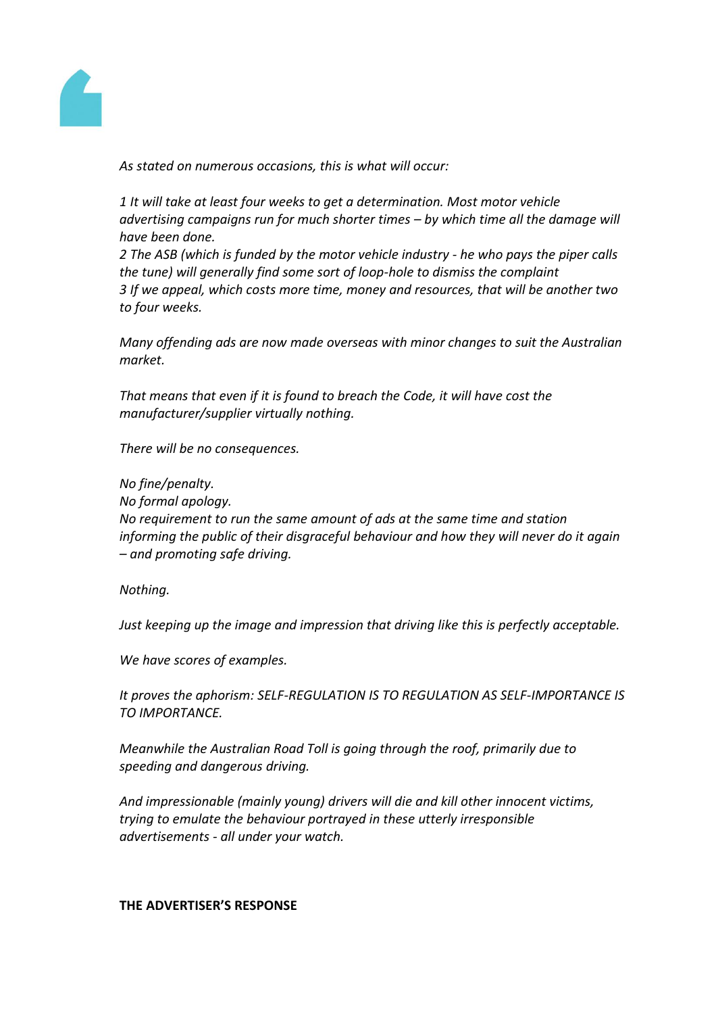

*As stated on numerous occasions, this is what will occur:*

*1 It will take at least four weeks to get a determination. Most motor vehicle advertising campaigns run for much shorter times – by which time all the damage will have been done.*

*2 The ASB (which is funded by the motor vehicle industry - he who pays the piper calls the tune) will generally find some sort of loop-hole to dismiss the complaint 3 If we appeal, which costs more time, money and resources, that will be another two to four weeks.*

*Many offending ads are now made overseas with minor changes to suit the Australian market.*

*That means that even if it is found to breach the Code, it will have cost the manufacturer/supplier virtually nothing.*

*There will be no consequences.*

*No fine/penalty.*

*No formal apology.*

*No requirement to run the same amount of ads at the same time and station informing the public of their disgraceful behaviour and how they will never do it again – and promoting safe driving.*

*Nothing.*

*Just keeping up the image and impression that driving like this is perfectly acceptable.*

*We have scores of examples.*

*It proves the aphorism: SELF-REGULATION IS TO REGULATION AS SELF-IMPORTANCE IS TO IMPORTANCE.*

*Meanwhile the Australian Road Toll is going through the roof, primarily due to speeding and dangerous driving.*

*And impressionable (mainly young) drivers will die and kill other innocent victims, trying to emulate the behaviour portrayed in these utterly irresponsible advertisements - all under your watch.*

#### **THE ADVERTISER'S RESPONSE**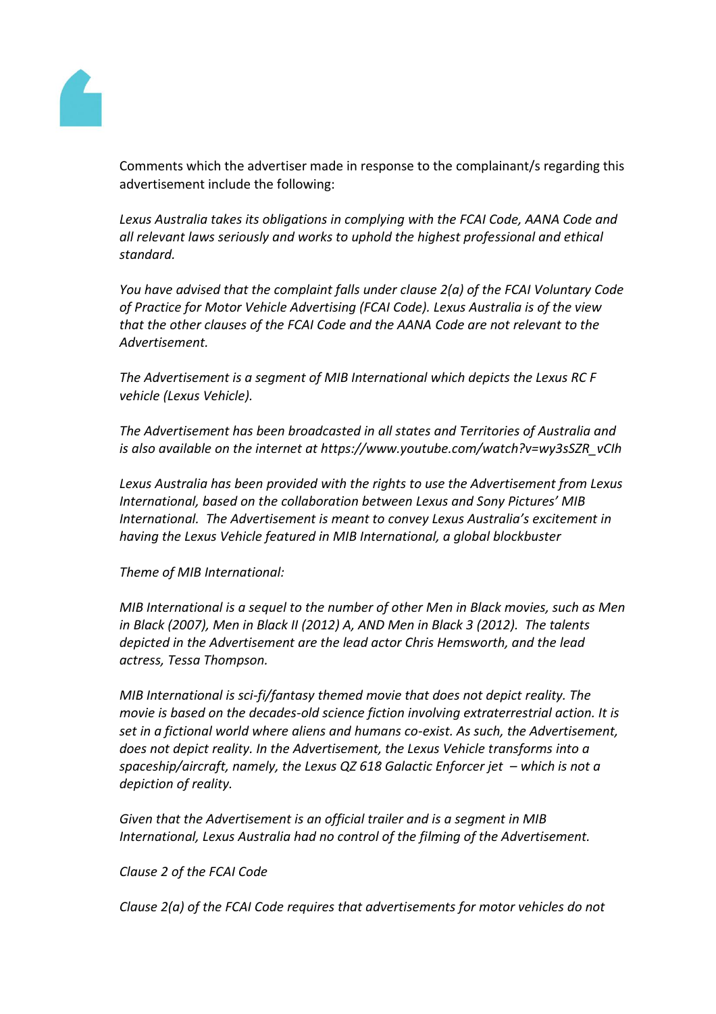

Comments which the advertiser made in response to the complainant/s regarding this advertisement include the following:

Lexus Australia takes its obligations in complying with the FCAI Code, AANA Code and *all relevant laws seriously and works to uphold the highest professional and ethical standard.*

*You have advised that the complaint falls under clause 2(a) of the FCAI Voluntary Code of Practice for Motor Vehicle Advertising (FCAI Code). Lexus Australia is of the view that the other clauses of the FCAI Code and the AANA Code are not relevant to the Advertisement.*

*The Advertisement is a segment of MIB International which depicts the Lexus RC F vehicle (Lexus Vehicle).*

*The Advertisement has been broadcasted in all states and Territories of Australia and is also available on the internet at https://www.youtube.com/watch?v=wy3sSZR\_vCIh*

*Lexus Australia has been provided with the rights to use the Advertisement from Lexus International, based on the collaboration between Lexus and Sony Pictures' MIB International. The Advertisement is meant to convey Lexus Australia's excitement in having the Lexus Vehicle featured in MIB International, a global blockbuster*

# *Theme of MIB International:*

*MIB International is a sequel to the number of other Men in Black movies, such as Men in Black (2007), Men in Black II (2012) A, AND Men in Black 3 (2012). The talents depicted in the Advertisement are the lead actor Chris Hemsworth, and the lead actress, Tessa Thompson.*

*MIB International is sci-fi/fantasy themed movie that does not depict reality. The movie is based on the decades-old science fiction involving extraterrestrial action. It is set in a fictional world where aliens and humans co-exist. As such, the Advertisement, does not depict reality. In the Advertisement, the Lexus Vehicle transforms into a spaceship/aircraft, namely, the Lexus QZ 618 Galactic Enforcer jet – which is not a depiction of reality.*

*Given that the Advertisement is an official trailer and is a segment in MIB International, Lexus Australia had no control of the filming of the Advertisement.*

# *Clause 2 of the FCAI Code*

*Clause 2(a) of the FCAI Code requires that advertisements for motor vehicles do not*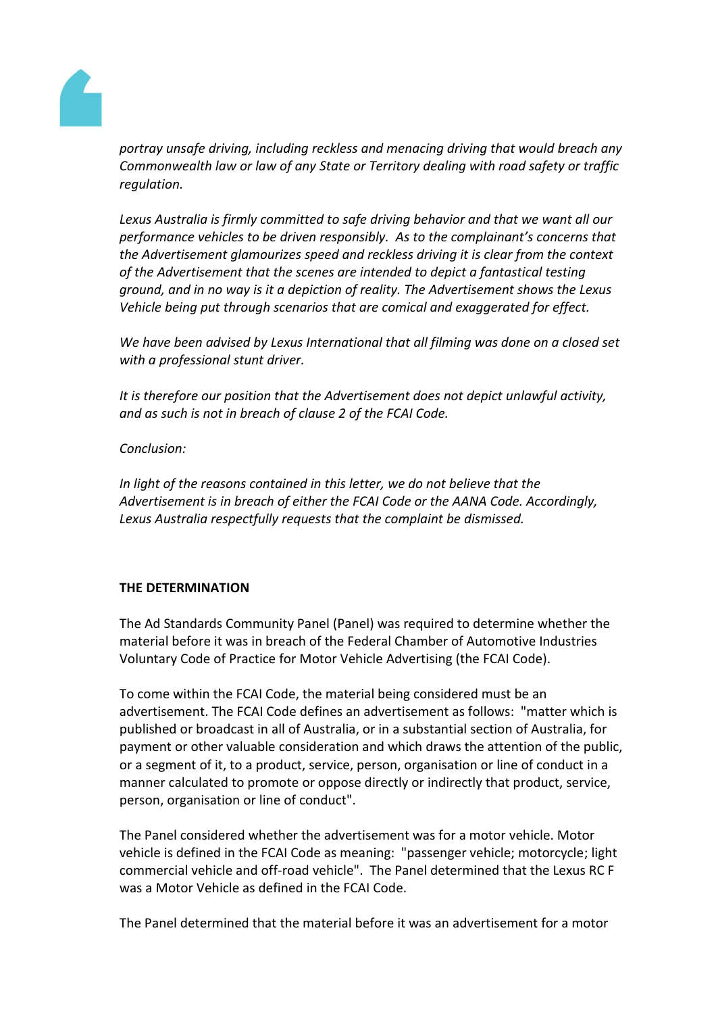

*portray unsafe driving, including reckless and menacing driving that would breach any Commonwealth law or law of any State or Territory dealing with road safety or traffic regulation.*

*Lexus Australia is firmly committed to safe driving behavior and that we want all our performance vehicles to be driven responsibly. As to the complainant's concerns that the Advertisement glamourizes speed and reckless driving it is clear from the context of the Advertisement that the scenes are intended to depict a fantastical testing ground, and in no way is it a depiction of reality. The Advertisement shows the Lexus Vehicle being put through scenarios that are comical and exaggerated for effect.*

*We have been advised by Lexus International that all filming was done on a closed set with a professional stunt driver.*

*It is therefore our position that the Advertisement does not depict unlawful activity, and as such is not in breach of clause 2 of the FCAI Code.*

*Conclusion:*

*In light of the reasons contained in this letter, we do not believe that the Advertisement is in breach of either the FCAI Code or the AANA Code. Accordingly, Lexus Australia respectfully requests that the complaint be dismissed.*

# **THE DETERMINATION**

The Ad Standards Community Panel (Panel) was required to determine whether the material before it was in breach of the Federal Chamber of Automotive Industries Voluntary Code of Practice for Motor Vehicle Advertising (the FCAI Code).

To come within the FCAI Code, the material being considered must be an advertisement. The FCAI Code defines an advertisement as follows: "matter which is published or broadcast in all of Australia, or in a substantial section of Australia, for payment or other valuable consideration and which draws the attention of the public, or a segment of it, to a product, service, person, organisation or line of conduct in a manner calculated to promote or oppose directly or indirectly that product, service, person, organisation or line of conduct".

The Panel considered whether the advertisement was for a motor vehicle. Motor vehicle is defined in the FCAI Code as meaning: "passenger vehicle; motorcycle; light commercial vehicle and off-road vehicle". The Panel determined that the Lexus RC F was a Motor Vehicle as defined in the FCAI Code.

The Panel determined that the material before it was an advertisement for a motor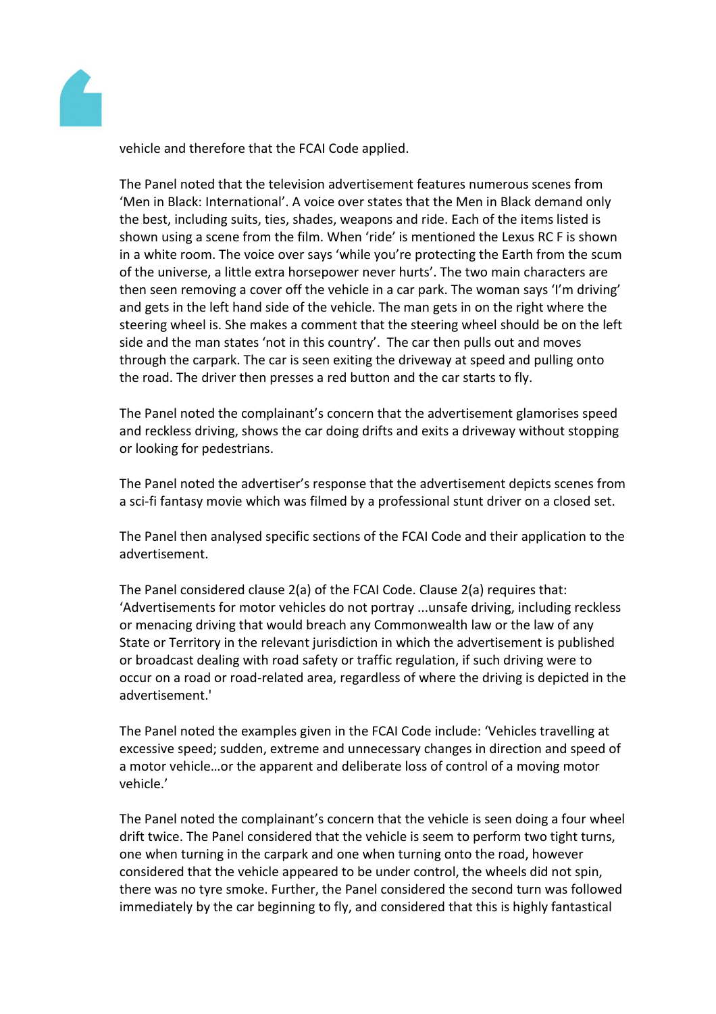

vehicle and therefore that the FCAI Code applied.

The Panel noted that the television advertisement features numerous scenes from 'Men in Black: International'. A voice over states that the Men in Black demand only the best, including suits, ties, shades, weapons and ride. Each of the items listed is shown using a scene from the film. When 'ride' is mentioned the Lexus RC F is shown in a white room. The voice over says 'while you're protecting the Earth from the scum of the universe, a little extra horsepower never hurts'. The two main characters are then seen removing a cover off the vehicle in a car park. The woman says 'I'm driving' and gets in the left hand side of the vehicle. The man gets in on the right where the steering wheel is. She makes a comment that the steering wheel should be on the left side and the man states 'not in this country'. The car then pulls out and moves through the carpark. The car is seen exiting the driveway at speed and pulling onto the road. The driver then presses a red button and the car starts to fly.

The Panel noted the complainant's concern that the advertisement glamorises speed and reckless driving, shows the car doing drifts and exits a driveway without stopping or looking for pedestrians.

The Panel noted the advertiser's response that the advertisement depicts scenes from a sci-fi fantasy movie which was filmed by a professional stunt driver on a closed set.

The Panel then analysed specific sections of the FCAI Code and their application to the advertisement.

The Panel considered clause 2(a) of the FCAI Code. Clause 2(a) requires that: 'Advertisements for motor vehicles do not portray ...unsafe driving, including reckless or menacing driving that would breach any Commonwealth law or the law of any State or Territory in the relevant jurisdiction in which the advertisement is published or broadcast dealing with road safety or traffic regulation, if such driving were to occur on a road or road-related area, regardless of where the driving is depicted in the advertisement.'

The Panel noted the examples given in the FCAI Code include: 'Vehicles travelling at excessive speed; sudden, extreme and unnecessary changes in direction and speed of a motor vehicle…or the apparent and deliberate loss of control of a moving motor vehicle.'

The Panel noted the complainant's concern that the vehicle is seen doing a four wheel drift twice. The Panel considered that the vehicle is seem to perform two tight turns, one when turning in the carpark and one when turning onto the road, however considered that the vehicle appeared to be under control, the wheels did not spin, there was no tyre smoke. Further, the Panel considered the second turn was followed immediately by the car beginning to fly, and considered that this is highly fantastical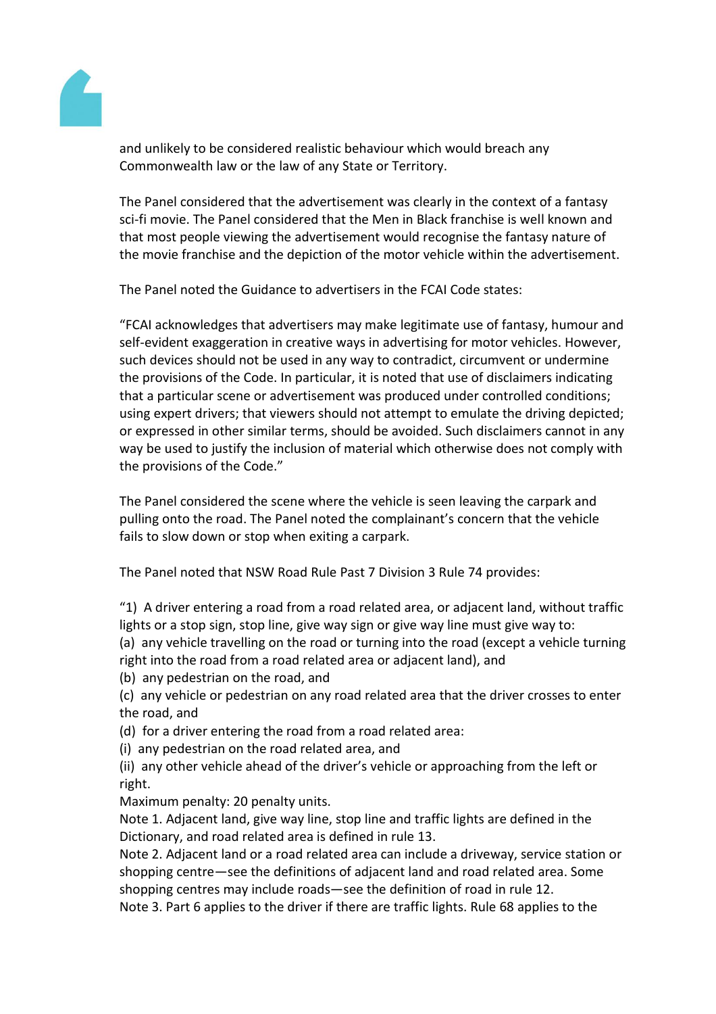

and unlikely to be considered realistic behaviour which would breach any Commonwealth law or the law of any State or Territory.

The Panel considered that the advertisement was clearly in the context of a fantasy sci-fi movie. The Panel considered that the Men in Black franchise is well known and that most people viewing the advertisement would recognise the fantasy nature of the movie franchise and the depiction of the motor vehicle within the advertisement.

The Panel noted the Guidance to advertisers in the FCAI Code states:

"FCAI acknowledges that advertisers may make legitimate use of fantasy, humour and self-evident exaggeration in creative ways in advertising for motor vehicles. However, such devices should not be used in any way to contradict, circumvent or undermine the provisions of the Code. In particular, it is noted that use of disclaimers indicating that a particular scene or advertisement was produced under controlled conditions; using expert drivers; that viewers should not attempt to emulate the driving depicted; or expressed in other similar terms, should be avoided. Such disclaimers cannot in any way be used to justify the inclusion of material which otherwise does not comply with the provisions of the Code."

The Panel considered the scene where the vehicle is seen leaving the carpark and pulling onto the road. The Panel noted the complainant's concern that the vehicle fails to slow down or stop when exiting a carpark.

The Panel noted that NSW Road Rule Past 7 Division 3 Rule 74 provides:

"1) A driver entering a road from a road related area, or adjacent land, without traffic lights or a stop sign, stop line, give way sign or give way line must give way to:

(a) any vehicle travelling on the road or turning into the road (except a vehicle turning right into the road from a road related area or adjacent land), and

(b) any pedestrian on the road, and

(c) any vehicle or pedestrian on any road related area that the driver crosses to enter the road, and

(d) for a driver entering the road from a road related area:

(i) any pedestrian on the road related area, and

(ii) any other vehicle ahead of the driver's vehicle or approaching from the left or right.

Maximum penalty: 20 penalty units.

Note 1. Adjacent land, give way line, stop line and traffic lights are defined in the Dictionary, and road related area is defined in rule 13.

Note 2. Adjacent land or a road related area can include a driveway, service station or shopping centre—see the definitions of adjacent land and road related area. Some shopping centres may include roads—see the definition of road in rule 12.

Note 3. Part 6 applies to the driver if there are traffic lights. Rule 68 applies to the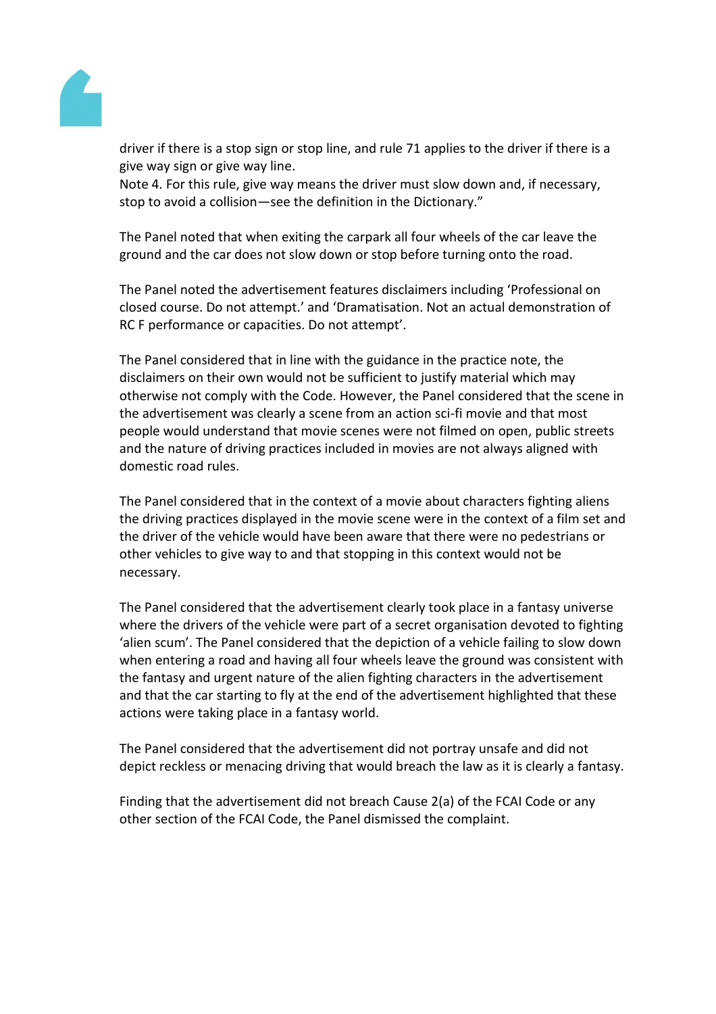

driver if there is a stop sign or stop line, and rule 71 applies to the driver if there is a give way sign or give way line.

Note 4. For this rule, give way means the driver must slow down and, if necessary, stop to avoid a collision—see the definition in the Dictionary."

The Panel noted that when exiting the carpark all four wheels of the car leave the ground and the car does not slow down or stop before turning onto the road.

The Panel noted the advertisement features disclaimers including 'Professional on closed course. Do not attempt.' and 'Dramatisation. Not an actual demonstration of RC F performance or capacities. Do not attempt'.

The Panel considered that in line with the guidance in the practice note, the disclaimers on their own would not be sufficient to justify material which may otherwise not comply with the Code. However, the Panel considered that the scene in the advertisement was clearly a scene from an action sci-fi movie and that most people would understand that movie scenes were not filmed on open, public streets and the nature of driving practices included in movies are not always aligned with domestic road rules.

The Panel considered that in the context of a movie about characters fighting aliens the driving practices displayed in the movie scene were in the context of a film set and the driver of the vehicle would have been aware that there were no pedestrians or other vehicles to give way to and that stopping in this context would not be necessary.

The Panel considered that the advertisement clearly took place in a fantasy universe where the drivers of the vehicle were part of a secret organisation devoted to fighting 'alien scum'. The Panel considered that the depiction of a vehicle failing to slow down when entering a road and having all four wheels leave the ground was consistent with the fantasy and urgent nature of the alien fighting characters in the advertisement and that the car starting to fly at the end of the advertisement highlighted that these actions were taking place in a fantasy world.

The Panel considered that the advertisement did not portray unsafe and did not depict reckless or menacing driving that would breach the law as it is clearly a fantasy.

Finding that the advertisement did not breach Cause 2(a) of the FCAI Code or any other section of the FCAI Code, the Panel dismissed the complaint.